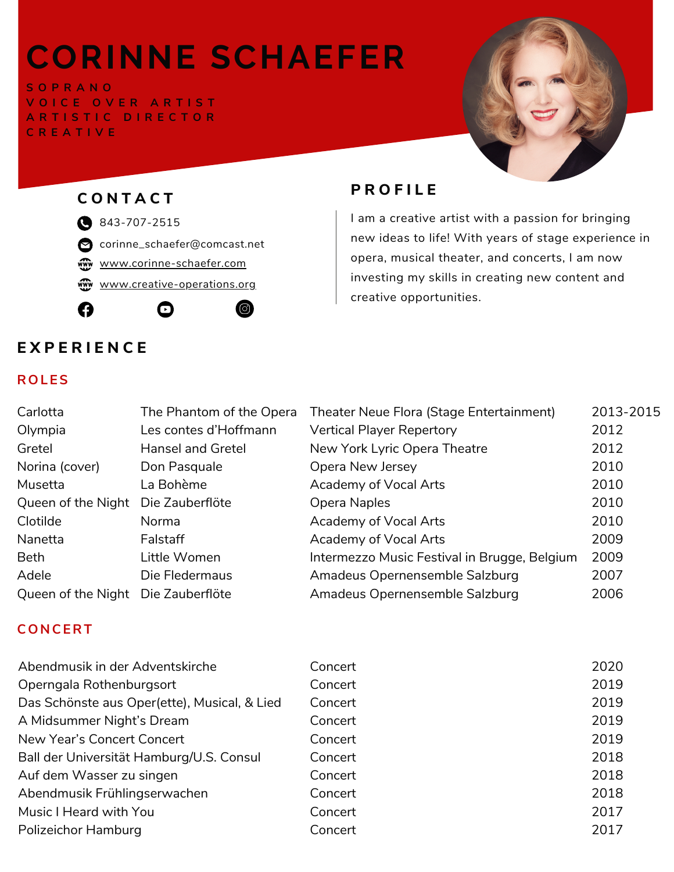# **CORINNE SCHAEFER**

**S O P R A N O V O I C E O V E R A R T I S T A R T I S T I C D I R E C T O R C R E A T I V E**





corinne\_schaefer@comcast.net

[www.corinne-schaefer.com](https://www.corinne-schaefer.com/)

[www.creative-operations.org](https://www.creative-operations.org/)

© O















# $P$  **P ROFILE**

I am a creative artist with a passion for bringing new ideas to life! With years of stage experience in opera, musical theater, and concerts, I am now investing my skills in creating new content and creative opportunities.

# **E X P E R I E N C E**

### **ROL ES**

| Carlotta                           | The Phantom of the Opera | Theater Neue Flora (Stage Entertainment)     | 2013-2015 |
|------------------------------------|--------------------------|----------------------------------------------|-----------|
| Olympia                            | Les contes d'Hoffmann    | <b>Vertical Player Repertory</b>             | 2012      |
| Gretel                             | <b>Hansel and Gretel</b> | New York Lyric Opera Theatre                 | 2012      |
| Norina (cover)                     | Don Pasquale             | Opera New Jersey                             | 2010      |
| Musetta                            | La Bohème                | Academy of Vocal Arts                        | 2010      |
| Queen of the Night                 | Die Zauberflöte          | Opera Naples                                 | 2010      |
| Clotilde                           | Norma                    | Academy of Vocal Arts                        | 2010      |
| Nanetta                            | Falstaff                 | Academy of Vocal Arts                        | 2009      |
| <b>Beth</b>                        | Little Women             | Intermezzo Music Festival in Brugge, Belgium | 2009      |
| Adele                              | Die Fledermaus           | Amadeus Opernensemble Salzburg               | 2007      |
| Queen of the Night Die Zauberflöte |                          | Amadeus Opernensemble Salzburg               | 2006      |

### **CON CERT**

| Abendmusik in der Adventskirche              | Concert | 2020 |
|----------------------------------------------|---------|------|
| Operngala Rothenburgsort                     | Concert | 2019 |
| Das Schönste aus Oper(ette), Musical, & Lied | Concert | 2019 |
| A Midsummer Night's Dream                    | Concert | 2019 |
| New Year's Concert Concert                   | Concert | 2019 |
| Ball der Universität Hamburg/U.S. Consul     | Concert | 2018 |
| Auf dem Wasser zu singen                     | Concert | 2018 |
| Abendmusik Frühlingserwachen                 | Concert | 2018 |
| Music I Heard with You                       | Concert | 2017 |
| <b>Polizeichor Hamburg</b>                   | Concert | 2017 |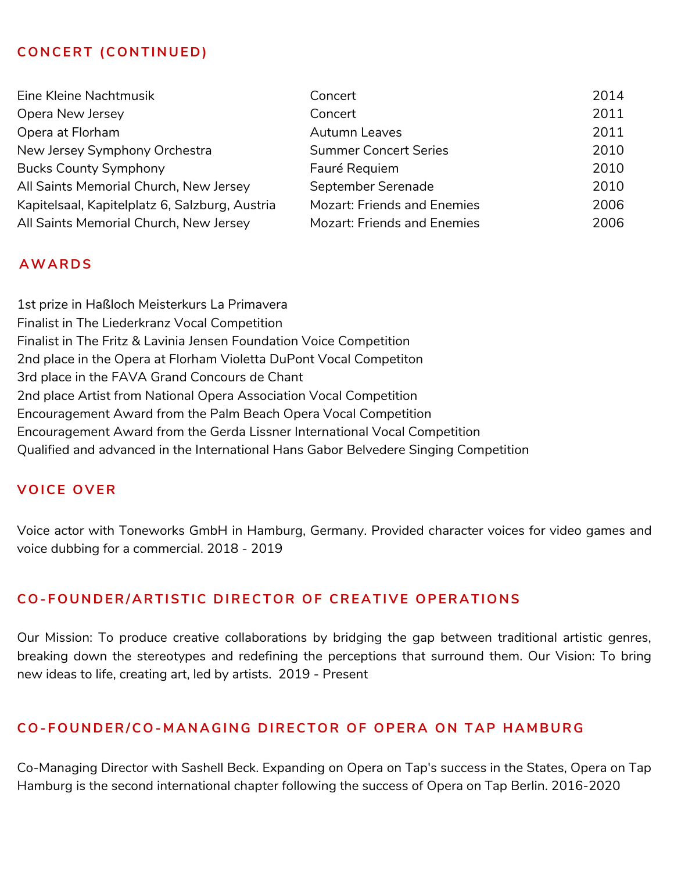### $COMCERT (CONTINUED)$

| Eine Kleine Nachtmusik                         | Concert                            | 2014 |
|------------------------------------------------|------------------------------------|------|
| Opera New Jersey                               | Concert                            | 2011 |
| Opera at Florham                               | <b>Autumn Leaves</b>               | 2011 |
| New Jersey Symphony Orchestra                  | <b>Summer Concert Series</b>       | 2010 |
| <b>Bucks County Symphony</b>                   | Fauré Requiem                      | 2010 |
| All Saints Memorial Church, New Jersey         | September Serenade                 | 2010 |
| Kapitelsaal, Kapitelplatz 6, Salzburg, Austria | <b>Mozart: Friends and Enemies</b> | 2006 |
| All Saints Memorial Church, New Jersey         | <b>Mozart: Friends and Enemies</b> | 2006 |

### **AWA RDS**

1st prize in Haßloch Meisterkurs La Primavera Finalist in The Liederkranz Vocal Competition Finalist in The Fritz & Lavinia Jensen Foundation Voice Competition 2nd place in the Opera at Florham Violetta DuPont Vocal Competiton 3rd place in the FAVA Grand Concours de Chant 2nd place Artist from National Opera Association Vocal Competition Encouragement Award from the Palm Beach Opera Vocal Competition Encouragement Award from the Gerda Lissner International Vocal Competition Qualified and advanced in the International Hans Gabor Belvedere Singing Competition

#### **VOICE OV ER**

Voice actor with Toneworks GmbH in Hamburg, Germany. Provided character voices for video games and voice dubbing for a commercial. 2018 - 2019

### **CO- FOU NDER/ A RTISTIC DIRECTOR OF CRE A TI V E OPER A TION S**

Our Mission: To produce creative collaborations by bridging the gap between traditional artistic genres, breaking down the stereotypes and redefining the perceptions that surround them. Our Vision: To bring new ideas to life, creating art, led by artists. 2019 - Present

#### CO-FOUNDER/CO-MANAGING DIRECTOR OF OPERA ON TAP HAMBURG

Co-Managing Director with Sashell Beck. Expanding on Opera on Tap's success in the States, Opera on Tap Hamburg is the second international chapter following the success of Opera on Tap Berlin. 2016-2020